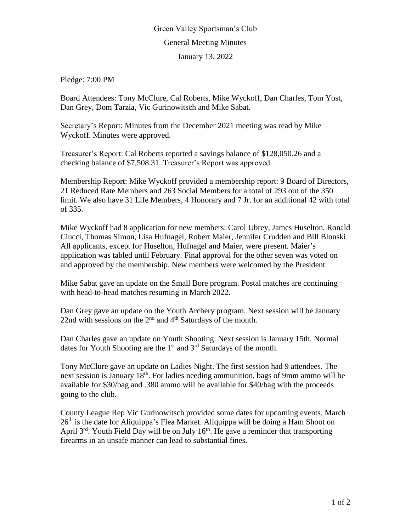## Green Valley Sportsman's Club General Meeting Minutes January 13, 2022

Pledge: 7:00 PM

Board Attendees: Tony McClure, Cal Roberts, Mike Wyckoff, Dan Charles, Tom Yost, Dan Grey, Dom Tarzia, Vic Gurinowitsch and Mike Sabat.

Secretary's Report: Minutes from the December 2021 meeting was read by Mike Wyckoff. Minutes were approved.

Treasurer's Report: Cal Roberts reported a savings balance of \$128,050.26 and a checking balance of \$7,508.31. Treasurer's Report was approved.

Membership Report: Mike Wyckoff provided a membership report: 9 Board of Directors, 21 Reduced Rate Members and 263 Social Members for a total of 293 out of the 350 limit. We also have 31 Life Members, 4 Honorary and 7 Jr. for an additional 42 with total of 335.

Mike Wyckoff had 8 application for new members: Carol Ubrey, James Huselton, Ronald Ciucci, Thomas Simon, Lisa Hufnagel, Robert Maier, Jennifer Crudden and Bill Blonski. All applicants, except for Huselton, Hufnagel and Maier, were present. Maier's application was tabled until February. Final approval for the other seven was voted on and approved by the membership. New members were welcomed by the President.

Mike Sabat gave an update on the Small Bore program. Postal matches are continuing with head-to-head matches resuming in March 2022.

Dan Grey gave an update on the Youth Archery program. Next session will be January 22nd with sessions on the  $2<sup>nd</sup>$  and  $4<sup>th</sup>$  Saturdays of the month.

Dan Charles gave an update on Youth Shooting. Next session is January 15th. Normal dates for Youth Shooting are the  $1<sup>st</sup>$  and  $3<sup>rd</sup>$  Saturdays of the month.

Tony McClure gave an update on Ladies Night. The first session had 9 attendees. The next session is January 18<sup>th</sup>. For ladies needing ammunition, bags of 9mm ammo will be available for \$30/bag and .380 ammo will be available for \$40/bag with the proceeds going to the club.

County League Rep Vic Gurinowitsch provided some dates for upcoming events. March  $26<sup>th</sup>$  is the date for Aliquippa's Flea Market. Aliquippa will be doing a Ham Shoot on April  $3<sup>rd</sup>$ . Youth Field Day will be on July 16<sup>th</sup>. He gave a reminder that transporting firearms in an unsafe manner can lead to substantial fines.